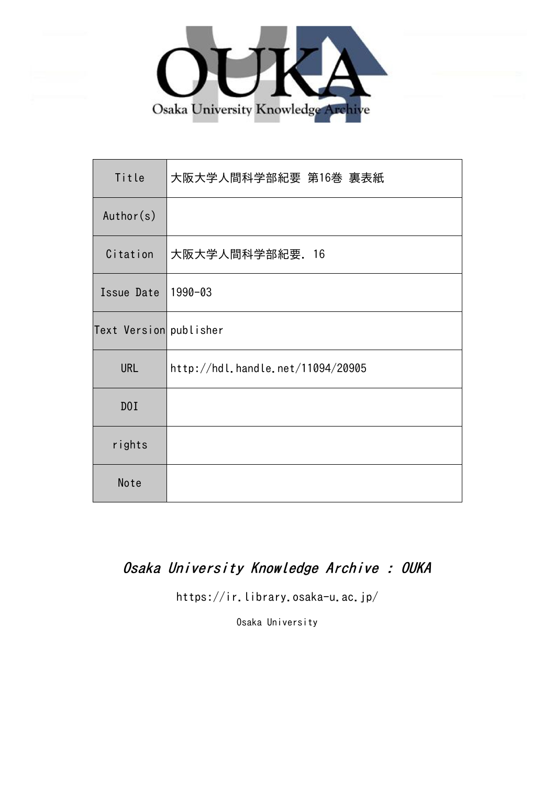

| Title                  | 大阪大学人間科学部紀要 第16巻 裏表紙              |
|------------------------|-----------------------------------|
| Author(s)              |                                   |
| Citation               | 大阪大学人間科学部紀要. 16                   |
| Issue Date             | 1990-03                           |
| Text Version publisher |                                   |
| <b>URL</b>             | http://hdl.handle.net/11094/20905 |
| DOI                    |                                   |
| rights                 |                                   |
| Note                   |                                   |

## Osaka University Knowledge Archive : OUKA

https://ir.library.osaka-u.ac.jp/

Osaka University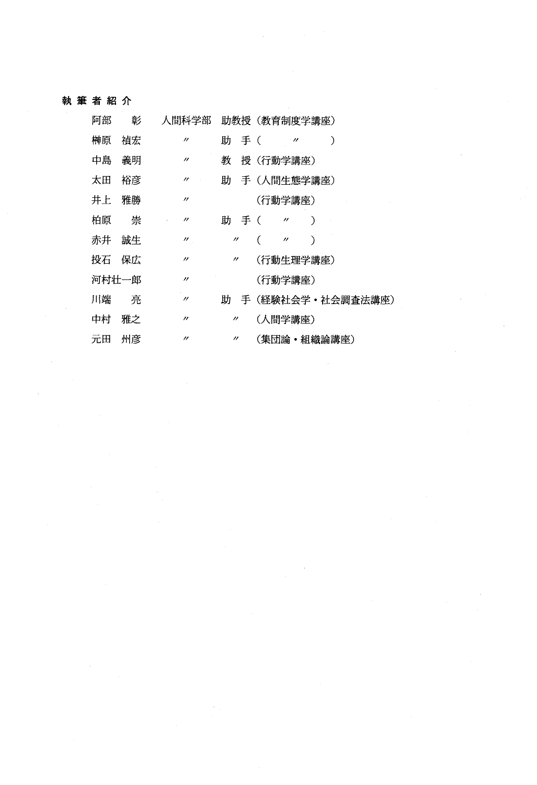#### 執筆者紹介

| 阿部    | 彰  | 人間科学部             |                   |     | 助教授 (教育制度学講座)               |
|-------|----|-------------------|-------------------|-----|-----------------------------|
| 榊原    | 禎宏 | $^{\prime\prime}$ | 肍                 | 手 ( | ∋<br>$\cdot$ m              |
| 中島    | 義明 | $^{\prime\prime}$ | 教                 |     | 授(行動学講座)                    |
| 太田    | 裕彦 | $^{\prime\prime}$ |                   |     | 助 手(人間牛熊学講座)                |
| 井上    | 雅勝 | $^{\prime\prime}$ |                   |     | (行動学講座)                     |
| 柏原    | 崇  | $^{\prime\prime}$ | 肍                 | 手 ( | €<br>$^{\prime\prime}$      |
| 赤井    | 誠生 | $^{\prime\prime}$ | $^{\prime\prime}$ |     | C<br>⟩<br>$^{\prime\prime}$ |
| 投石    | 保広 | $^{\prime\prime}$ | $^{\prime\prime}$ |     | (行動生理学講座)                   |
| 河村壮一郎 |    | $^{\prime\prime}$ |                   |     | (行動学講座)                     |
| 川端    | 亮  | $^{\prime\prime}$ |                   |     | 助 手(経験社会学・社会調査法講座)          |
| 中村    | 雅之 | $^{\prime\prime}$ | $^{\prime\prime}$ |     | (人間学講座)                     |
| 元田    | 州彦 | $^{\prime\prime}$ | $^{\prime\prime}$ |     | (集団論・組織論講座)                 |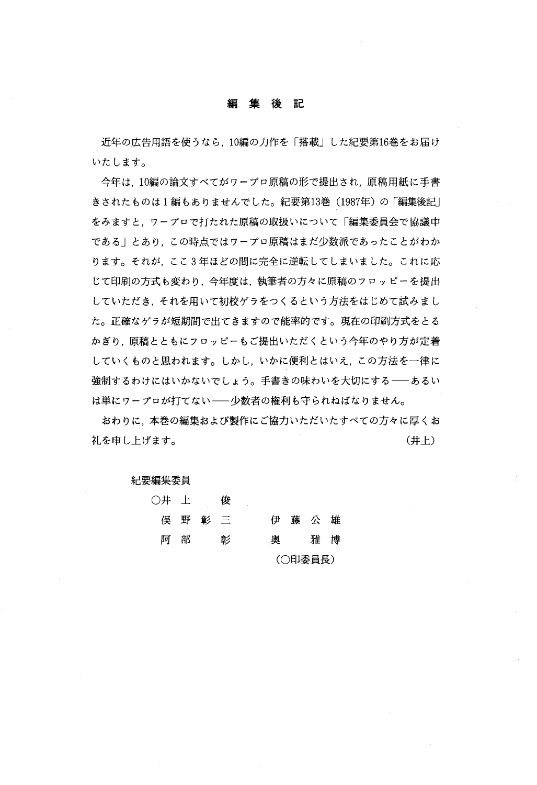#### 編集後記

近年の広告用語を使うなら、10編の力作を「搭載」した紀要第16巻をお届け いたします。

今年は、10編の論文すべてがワープロ原稿の形で提出され、原稿用紙に手書 きされたものは1編もありませんでした。紀要第13巻(1987年)の「編集後記」 をみますと、ワープロで打たれた原稿の取扱いについて「編集委員会で協議中 である」とあり、この時点ではワープロ原稿はまだ少数派であったことがわか ります。それが、ここ3年ほどの間に完全に逆転してしまいました。これに応 じて印刷の方式も変わり、今年度は、執筆者の方々に原稿のフロッピーを提出 していただき、それを用いて初校ゲラをつくるという方法をはじめて試みまし た。正確なゲラが短期間で出てきますので能率的です。現在の印刷方式をとる かぎり、原稿とともにフロッピーもご提出いただくという今年のやり方が定着 していくものと思われます。しかし、いかに便利とはいえ、この方法を一律に 強制するわけにはいかないでしょう。手書きの味わいを大切にする––あるい は単にワープロが打てない––少数者の権利も守られねばなりません。

おわりに、本巻の編集および製作にご協力いただいたすべての方々に厚くお 。 (井上)

#### 紀要編集委員

| 〇井 上  |   |         | 俊 |   |         |  |
|-------|---|---------|---|---|---------|--|
|       |   | 俣 野 彰 三 |   | 伊 | 藤公雄     |  |
| ५ वर् | 部 |         | 彰 | 奥 | 雅博      |  |
|       |   |         |   |   | (〇印委員長) |  |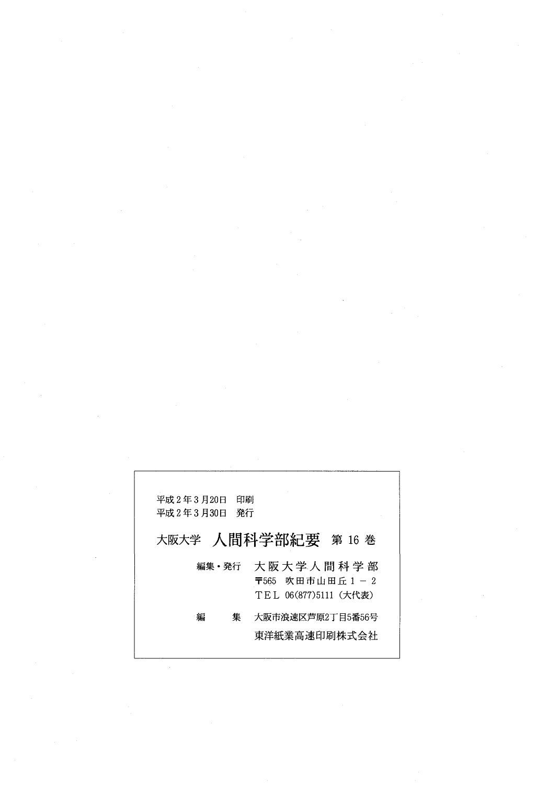| 印刷<br>平成 2 年 3 月20日<br>発行<br>平成 2 年 3 月30日 | 大阪大学 人間科学部紀要 第 16 巻                                         |
|--------------------------------------------|-------------------------------------------------------------|
| 編集・発行                                      | 大 阪 大 学 人 間 科 学 部<br>〒565 吹田市山田丘1-2<br>TEL 06(877)5111(大代表) |
| 編<br>集                                     | 大阪市浪速区芦原2丁目5番56号<br>東洋紙業高速印刷株式会社                            |